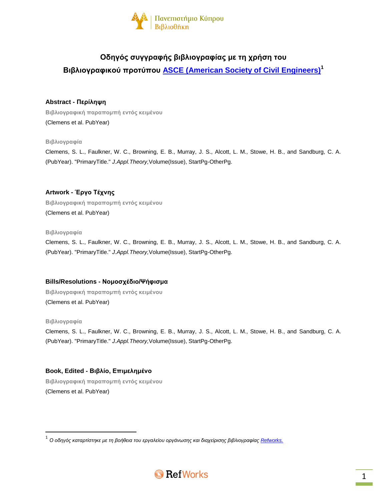

# **Οδηγός συγγραφής βιβλιογραφίας με τη χρήση του Βιβλιογραφικού προτύπου [ASCE \(American Society of Civil Engineers\)](http://www.asce.org/Content.aspx?id=29605)<sup>1</sup>**

# **Abstract - Περίληψη**

**Βιβλιογραφική παραπομπή εντός κειμένου** (Clemens et al. PubYear)

# **Βιβλιογραφία**

Clemens, S. L., Faulkner, W. C., Browning, E. B., Murray, J. S., Alcott, L. M., Stowe, H. B., and Sandburg, C. A. (PubYear). "PrimaryTitle." *J.Appl.Theory,*Volume(Issue), StartPg-OtherPg.

# **Artwork - Έργο Τέχνης**

**Βιβλιογραφική παραπομπή εντός κειμένου** (Clemens et al. PubYear)

#### **Βιβλιογραφία**

Clemens, S. L., Faulkner, W. C., Browning, E. B., Murray, J. S., Alcott, L. M., Stowe, H. B., and Sandburg, C. A. (PubYear). "PrimaryTitle." *J.Appl.Theory,*Volume(Issue), StartPg-OtherPg.

## **Bills/Resolutions - Νομοσχέδιο/Ψήφισμα**

**Βιβλιογραφική παραπομπή εντός κειμένου** (Clemens et al. PubYear)

## **Βιβλιογραφία**

 $\overline{\phantom{a}}$ 

Clemens, S. L., Faulkner, W. C., Browning, E. B., Murray, J. S., Alcott, L. M., Stowe, H. B., and Sandburg, C. A. (PubYear). "PrimaryTitle." *J.Appl.Theory,*Volume(Issue), StartPg-OtherPg.

# **Book, Edited - Βιβλίο, Επιμελημένο**

**Βιβλιογραφική παραπομπή εντός κειμένου** (Clemens et al. PubYear)

<sup>.&</sup>lt;br><sup>1</sup> Ο οδηγός καταρτίστηκε με τη βοήθεια του εργαλείου οργάνωσης και διαχείρισης βιβλιογραφίας <u>Refworks.</u>

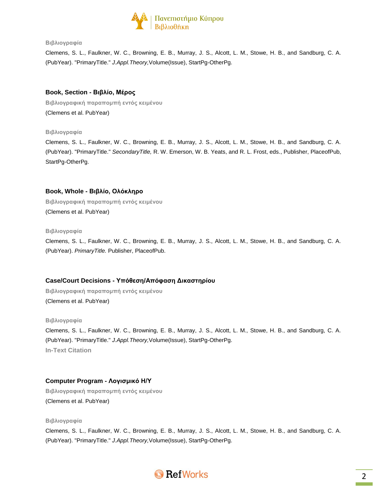

Clemens, S. L., Faulkner, W. C., Browning, E. B., Murray, J. S., Alcott, L. M., Stowe, H. B., and Sandburg, C. A. (PubYear). "PrimaryTitle." *J.Appl.Theory,*Volume(Issue), StartPg-OtherPg.

### **Book, Section - Βιβλίο, Μέρος**

**Βιβλιογραφική παραπομπή εντός κειμένου** (Clemens et al. PubYear)

#### **Βιβλιογραφία**

Clemens, S. L., Faulkner, W. C., Browning, E. B., Murray, J. S., Alcott, L. M., Stowe, H. B., and Sandburg, C. A. (PubYear). "PrimaryTitle." *SecondaryTitle,* R. W. Emerson, W. B. Yeats, and R. L. Frost, eds., Publisher, PlaceofPub, StartPg-OtherPg.

## **Book, Whole - Βιβλίο, Ολόκληρο**

**Βιβλιογραφική παραπομπή εντός κειμένου** (Clemens et al. PubYear)

#### **Βιβλιογραφία**

Clemens, S. L., Faulkner, W. C., Browning, E. B., Murray, J. S., Alcott, L. M., Stowe, H. B., and Sandburg, C. A. (PubYear). *PrimaryTitle.* Publisher, PlaceofPub.

## **Case/Court Decisions - Υπόθεση/Απόφαση Δικαστηρίου**

**Βιβλιογραφική παραπομπή εντός κειμένου** (Clemens et al. PubYear)

#### **Βιβλιογραφία**

Clemens, S. L., Faulkner, W. C., Browning, E. B., Murray, J. S., Alcott, L. M., Stowe, H. B., and Sandburg, C. A. (PubYear). "PrimaryTitle." *J.Appl.Theory,*Volume(Issue), StartPg-OtherPg. **In-Text Citation**

# **Computer Program - Λογισμικό Η/Υ**

**Βιβλιογραφική παραπομπή εντός κειμένου** (Clemens et al. PubYear)

#### **Βιβλιογραφία**

Clemens, S. L., Faulkner, W. C., Browning, E. B., Murray, J. S., Alcott, L. M., Stowe, H. B., and Sandburg, C. A. (PubYear). "PrimaryTitle." *J.Appl.Theory,*Volume(Issue), StartPg-OtherPg.

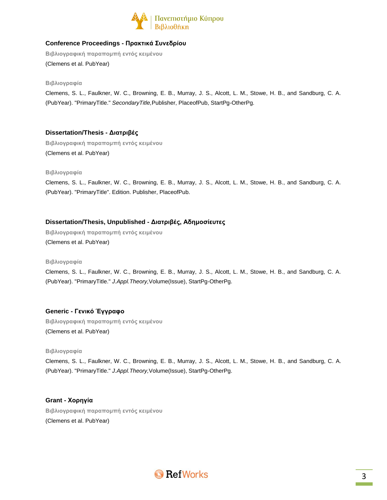

# **Conference Proceedings - Πρακτικά Συνεδρίου**

**Βιβλιογραφική παραπομπή εντός κειμένου** (Clemens et al. PubYear)

#### **Βιβλιογραφία**

Clemens, S. L., Faulkner, W. C., Browning, E. B., Murray, J. S., Alcott, L. M., Stowe, H. B., and Sandburg, C. A. (PubYear). "PrimaryTitle." *SecondaryTitle,*Publisher, PlaceofPub, StartPg-OtherPg.

# **Dissertation/Thesis - Διατριβές**

**Βιβλιογραφική παραπομπή εντός κειμένου** (Clemens et al. PubYear)

#### **Βιβλιογραφία**

Clemens, S. L., Faulkner, W. C., Browning, E. B., Murray, J. S., Alcott, L. M., Stowe, H. B., and Sandburg, C. A. (PubYear). "PrimaryTitle". Edition. Publisher, PlaceofPub.

# **Dissertation/Thesis, Unpublished - Διατριβές, Αδημοσίευτες**

**Βιβλιογραφική παραπομπή εντός κειμένου** (Clemens et al. PubYear)

#### **Βιβλιογραφία**

Clemens, S. L., Faulkner, W. C., Browning, E. B., Murray, J. S., Alcott, L. M., Stowe, H. B., and Sandburg, C. A. (PubYear). "PrimaryTitle." *J.Appl.Theory,*Volume(Issue), StartPg-OtherPg.

# **Generic - Γενικό Έγγραφο**

**Βιβλιογραφική παραπομπή εντός κειμένου** (Clemens et al. PubYear)

#### **Βιβλιογραφία**

Clemens, S. L., Faulkner, W. C., Browning, E. B., Murray, J. S., Alcott, L. M., Stowe, H. B., and Sandburg, C. A. (PubYear). "PrimaryTitle." *J.Appl.Theory,*Volume(Issue), StartPg-OtherPg.

# **Grant - Χορηγία Βιβλιογραφική παραπομπή εντός κειμένου** (Clemens et al. PubYear)

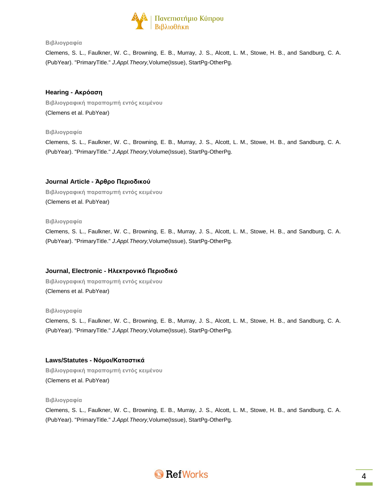

Clemens, S. L., Faulkner, W. C., Browning, E. B., Murray, J. S., Alcott, L. M., Stowe, H. B., and Sandburg, C. A. (PubYear). "PrimaryTitle." *J.Appl.Theory,*Volume(Issue), StartPg-OtherPg.

# **Hearing - Ακρόαση**

**Βιβλιογραφική παραπομπή εντός κειμένου** (Clemens et al. PubYear)

## **Βιβλιογραφία**

Clemens, S. L., Faulkner, W. C., Browning, E. B., Murray, J. S., Alcott, L. M., Stowe, H. B., and Sandburg, C. A. (PubYear). "PrimaryTitle." *J.Appl.Theory,*Volume(Issue), StartPg-OtherPg.

# **Journal Article - Άρθρο Περιοδικού**

**Βιβλιογραφική παραπομπή εντός κειμένου** (Clemens et al. PubYear)

#### **Βιβλιογραφία**

Clemens, S. L., Faulkner, W. C., Browning, E. B., Murray, J. S., Alcott, L. M., Stowe, H. B., and Sandburg, C. A. (PubYear). "PrimaryTitle." *J.Appl.Theory,*Volume(Issue), StartPg-OtherPg.

## **Journal, Electronic - Ηλεκτρονικό Περιοδικό**

**Βιβλιογραφική παραπομπή εντός κειμένου** (Clemens et al. PubYear)

#### **Βιβλιογραφία**

Clemens, S. L., Faulkner, W. C., Browning, E. B., Murray, J. S., Alcott, L. M., Stowe, H. B., and Sandburg, C. A. (PubYear). "PrimaryTitle." *J.Appl.Theory,*Volume(Issue), StartPg-OtherPg.

## **Laws/Statutes - Νόμοι/Καταστικά**

**Βιβλιογραφική παραπομπή εντός κειμένου** (Clemens et al. PubYear)

#### **Βιβλιογραφία**

Clemens, S. L., Faulkner, W. C., Browning, E. B., Murray, J. S., Alcott, L. M., Stowe, H. B., and Sandburg, C. A. (PubYear). "PrimaryTitle." *J.Appl.Theory,*Volume(Issue), StartPg-OtherPg.

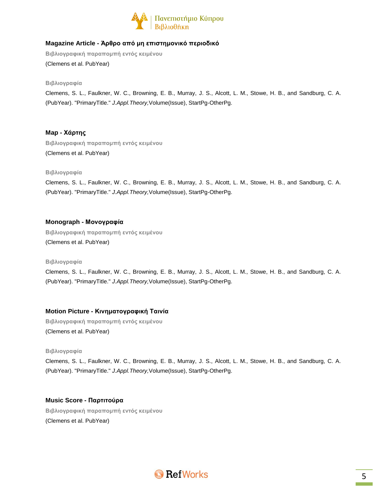

# **Magazine Article - Άρθρο από μη επιστημονικό περιοδικό**

**Βιβλιογραφική παραπομπή εντός κειμένου** (Clemens et al. PubYear)

**Βιβλιογραφία**

Clemens, S. L., Faulkner, W. C., Browning, E. B., Murray, J. S., Alcott, L. M., Stowe, H. B., and Sandburg, C. A. (PubYear). "PrimaryTitle." *J.Appl.Theory,*Volume(Issue), StartPg-OtherPg.

# **Map - Χάρτης**

**Βιβλιογραφική παραπομπή εντός κειμένου** (Clemens et al. PubYear)

## **Βιβλιογραφία**

Clemens, S. L., Faulkner, W. C., Browning, E. B., Murray, J. S., Alcott, L. M., Stowe, H. B., and Sandburg, C. A. (PubYear). "PrimaryTitle." *J.Appl.Theory,*Volume(Issue), StartPg-OtherPg.

## **Monograph - Μονογραφία**

**Βιβλιογραφική παραπομπή εντός κειμένου** (Clemens et al. PubYear)

**Βιβλιογραφία**

Clemens, S. L., Faulkner, W. C., Browning, E. B., Murray, J. S., Alcott, L. M., Stowe, H. B., and Sandburg, C. A. (PubYear). "PrimaryTitle." *J.Appl.Theory,*Volume(Issue), StartPg-OtherPg.

# **Motion Picture - Κινηματογραφική Ταινία**

**Βιβλιογραφική παραπομπή εντός κειμένου** (Clemens et al. PubYear)

#### **Βιβλιογραφία**

Clemens, S. L., Faulkner, W. C., Browning, E. B., Murray, J. S., Alcott, L. M., Stowe, H. B., and Sandburg, C. A. (PubYear). "PrimaryTitle." *J.Appl.Theory,*Volume(Issue), StartPg-OtherPg.

## **Music Score - Παρτιτούρα**

**Βιβλιογραφική παραπομπή εντός κειμένου** (Clemens et al. PubYear)

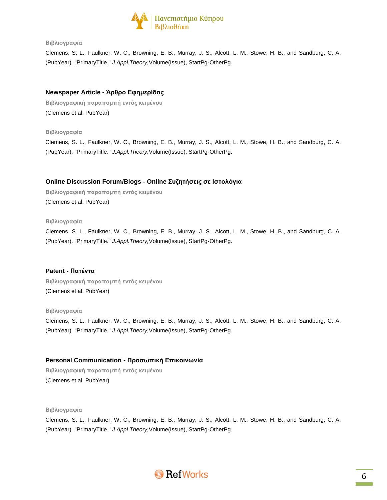

Clemens, S. L., Faulkner, W. C., Browning, E. B., Murray, J. S., Alcott, L. M., Stowe, H. B., and Sandburg, C. A. (PubYear). "PrimaryTitle." *J.Appl.Theory,*Volume(Issue), StartPg-OtherPg.

## **Newspaper Article - Άρθρο Εφημερίδας**

**Βιβλιογραφική παραπομπή εντός κειμένου** (Clemens et al. PubYear)

**Βιβλιογραφία**

Clemens, S. L., Faulkner, W. C., Browning, E. B., Murray, J. S., Alcott, L. M., Stowe, H. B., and Sandburg, C. A. (PubYear). "PrimaryTitle." *J.Appl.Theory,*Volume(Issue), StartPg-OtherPg.

# **Online Discussion Forum/Blogs - Online Συζητήσεις σε Ιστολόγια**

**Βιβλιογραφική παραπομπή εντός κειμένου** (Clemens et al. PubYear)

#### **Βιβλιογραφία**

Clemens, S. L., Faulkner, W. C., Browning, E. B., Murray, J. S., Alcott, L. M., Stowe, H. B., and Sandburg, C. A. (PubYear). "PrimaryTitle." *J.Appl.Theory,*Volume(Issue), StartPg-OtherPg.

## **Patent - Πατέντα**

**Βιβλιογραφική παραπομπή εντός κειμένου** (Clemens et al. PubYear)

#### **Βιβλιογραφία**

Clemens, S. L., Faulkner, W. C., Browning, E. B., Murray, J. S., Alcott, L. M., Stowe, H. B., and Sandburg, C. A. (PubYear). "PrimaryTitle." *J.Appl.Theory,*Volume(Issue), StartPg-OtherPg.

# **Personal Communication - Προσωπική Επικοινωνία**

**Βιβλιογραφική παραπομπή εντός κειμένου** (Clemens et al. PubYear)

**Βιβλιογραφία**

Clemens, S. L., Faulkner, W. C., Browning, E. B., Murray, J. S., Alcott, L. M., Stowe, H. B., and Sandburg, C. A. (PubYear). "PrimaryTitle." *J.Appl.Theory,*Volume(Issue), StartPg-OtherPg.

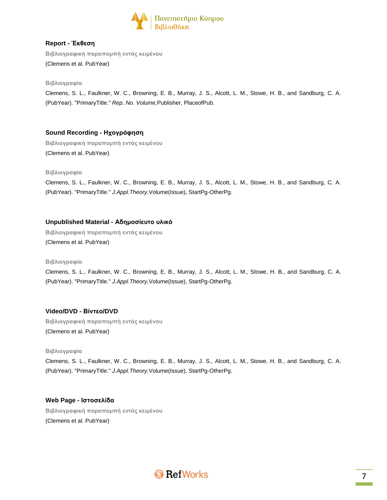

# **Report - Έκθεση**

**Βιβλιογραφική παραπομπή εντός κειμένου** (Clemens et al. PubYear)

### **Βιβλιογραφία**

Clemens, S. L., Faulkner, W. C., Browning, E. B., Murray, J. S., Alcott, L. M., Stowe, H. B., and Sandburg, C. A. (PubYear). "PrimaryTitle." *Rep. No. Volume,*Publisher, PlaceofPub.

# **Sound Recording - Ηχογράφηση**

**Βιβλιογραφική παραπομπή εντός κειμένου** (Clemens et al. PubYear)

#### **Βιβλιογραφία**

Clemens, S. L., Faulkner, W. C., Browning, E. B., Murray, J. S., Alcott, L. M., Stowe, H. B., and Sandburg, C. A. (PubYear). "PrimaryTitle." *J.Appl.Theory,*Volume(Issue), StartPg-OtherPg.

## **Unpublished Material - Αδημοσίευτο υλικό**

**Βιβλιογραφική παραπομπή εντός κειμένου** (Clemens et al. PubYear)

#### **Βιβλιογραφία**

Clemens, S. L., Faulkner, W. C., Browning, E. B., Murray, J. S., Alcott, L. M., Stowe, H. B., and Sandburg, C. A. (PubYear). "PrimaryTitle." *J.Appl.Theory,*Volume(Issue), StartPg-OtherPg.

# **Video/DVD - Βίντεο/DVD**

**Βιβλιογραφική παραπομπή εντός κειμένου** (Clemens et al. PubYear)

#### **Βιβλιογραφία**

Clemens, S. L., Faulkner, W. C., Browning, E. B., Murray, J. S., Alcott, L. M., Stowe, H. B., and Sandburg, C. A. (PubYear). "PrimaryTitle." *J.Appl.Theory,*Volume(Issue), StartPg-OtherPg.

## **Web Page - Ιστοσελίδα**

**Βιβλιογραφική παραπομπή εντός κειμένου** (Clemens et al. PubYear)